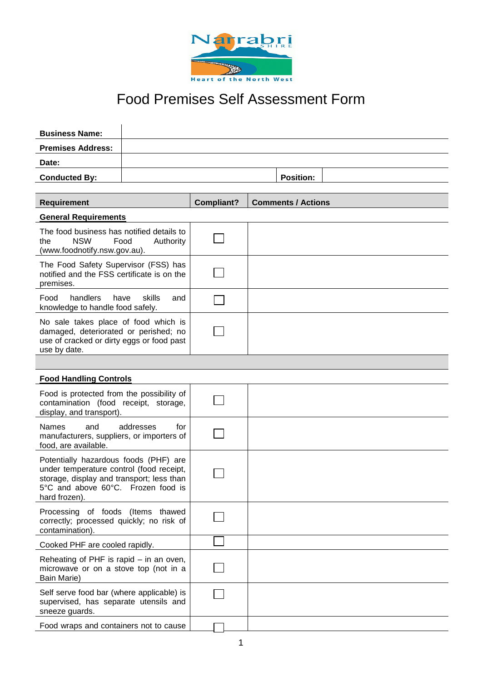

## Food Premises Self Assessment Form

| <b>Business Name:</b>                                                                                                                                                                 |                  |            |                           |  |
|---------------------------------------------------------------------------------------------------------------------------------------------------------------------------------------|------------------|------------|---------------------------|--|
| <b>Premises Address:</b>                                                                                                                                                              |                  |            |                           |  |
| Date:                                                                                                                                                                                 |                  |            |                           |  |
| <b>Conducted By:</b>                                                                                                                                                                  |                  |            | <b>Position:</b>          |  |
|                                                                                                                                                                                       |                  |            |                           |  |
| <b>Requirement</b>                                                                                                                                                                    |                  | Compliant? | <b>Comments / Actions</b> |  |
| <b>General Requirements</b>                                                                                                                                                           |                  |            |                           |  |
| The food business has notified details to<br><b>NSW</b><br>Food<br>the<br>Authority<br>(www.foodnotify.nsw.gov.au).                                                                   |                  |            |                           |  |
| The Food Safety Supervisor (FSS) has<br>notified and the FSS certificate is on the<br>premises.                                                                                       |                  |            |                           |  |
| handlers<br>Food<br>have<br>skills<br>and<br>knowledge to handle food safely.                                                                                                         |                  |            |                           |  |
| No sale takes place of food which is<br>damaged, deteriorated or perished; no<br>use of cracked or dirty eggs or food past<br>use by date.                                            |                  |            |                           |  |
|                                                                                                                                                                                       |                  |            |                           |  |
| <b>Food Handling Controls</b>                                                                                                                                                         |                  |            |                           |  |
| Food is protected from the possibility of<br>contamination (food receipt, storage,<br>display, and transport).                                                                        |                  |            |                           |  |
| <b>Names</b><br>and<br>manufacturers, suppliers, or importers of<br>food, are available.                                                                                              | addresses<br>for |            |                           |  |
| Potentially hazardous foods (PHF) are<br>under temperature control (food receipt,<br>storage, display and transport; less than<br>5°C and above 60°C. Frozen food is<br>hard frozen). |                  |            |                           |  |
| Processing of foods (Items thawed<br>correctly; processed quickly; no risk of<br>contamination).                                                                                      |                  |            |                           |  |
| Cooked PHF are cooled rapidly.                                                                                                                                                        |                  |            |                           |  |
| Reheating of PHF is rapid – in an oven,<br>microwave or on a stove top (not in a<br>Bain Marie)                                                                                       |                  |            |                           |  |
| Self serve food bar (where applicable) is<br>supervised, has separate utensils and<br>sneeze guards.                                                                                  |                  |            |                           |  |
| Food wraps and containers not to cause                                                                                                                                                |                  |            |                           |  |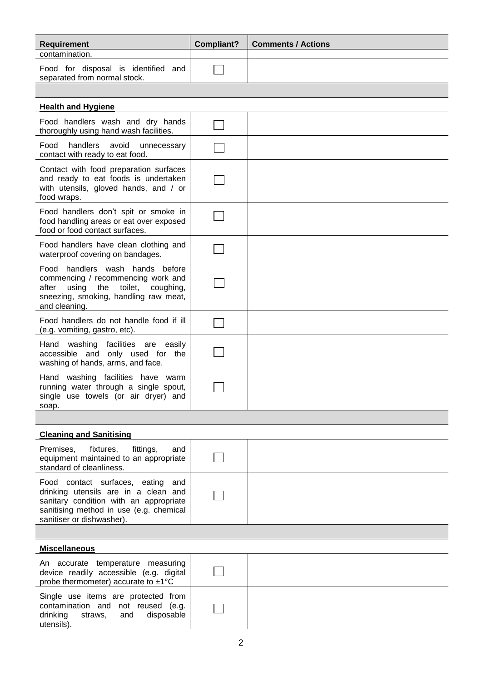| <b>Requirement</b>                                                  | Compliant? | <b>Comments / Actions</b> |
|---------------------------------------------------------------------|------------|---------------------------|
| contamination.                                                      |            |                           |
| Food for disposal is identified and<br>separated from normal stock. |            |                           |

| <b>Health and Hygiene</b>                                                                                                                                                  |  |
|----------------------------------------------------------------------------------------------------------------------------------------------------------------------------|--|
| Food handlers wash and dry hands<br>thoroughly using hand wash facilities.                                                                                                 |  |
| handlers<br>Food<br>avoid<br>unnecessary<br>contact with ready to eat food.                                                                                                |  |
| Contact with food preparation surfaces<br>and ready to eat foods is undertaken<br>with utensils, gloved hands, and / or<br>food wraps.                                     |  |
| Food handlers don't spit or smoke in<br>food handling areas or eat over exposed<br>food or food contact surfaces.                                                          |  |
| Food handlers have clean clothing and<br>waterproof covering on bandages.                                                                                                  |  |
| Food handlers wash hands before<br>commencing / recommencing work and<br>using the toilet,<br>after<br>coughing,<br>sneezing, smoking, handling raw meat,<br>and cleaning. |  |
| Food handlers do not handle food if ill<br>(e.g. vomiting, gastro, etc).                                                                                                   |  |
| Hand washing facilities are easily<br>accessible and only used for the<br>washing of hands, arms, and face.                                                                |  |
| Hand washing facilities have warm<br>running water through a single spout,<br>single use towels (or air dryer) and<br>soap.                                                |  |

| <b>Cleaning and Sanitising</b>                                                                                                                                                              |  |  |
|---------------------------------------------------------------------------------------------------------------------------------------------------------------------------------------------|--|--|
| Premises,<br>fixtures,<br>fittings,<br>and<br>equipment maintained to an appropriate<br>standard of cleanliness.                                                                            |  |  |
| Food contact surfaces, eating and<br>drinking utensils are in a clean and<br>sanitary condition with an appropriate<br>sanitising method in use (e.g. chemical<br>sanitiser or dishwasher). |  |  |

| <b>Miscellaneous</b>                                                                                                                |  |
|-------------------------------------------------------------------------------------------------------------------------------------|--|
| An accurate temperature measuring<br>device readily accessible (e.g. digital<br>probe thermometer) accurate to $\pm 1^{\circ}C$     |  |
| Single use items are protected from<br>contamination and not reused (e.g.<br>drinking<br>disposable<br>straws.<br>and<br>utensils). |  |